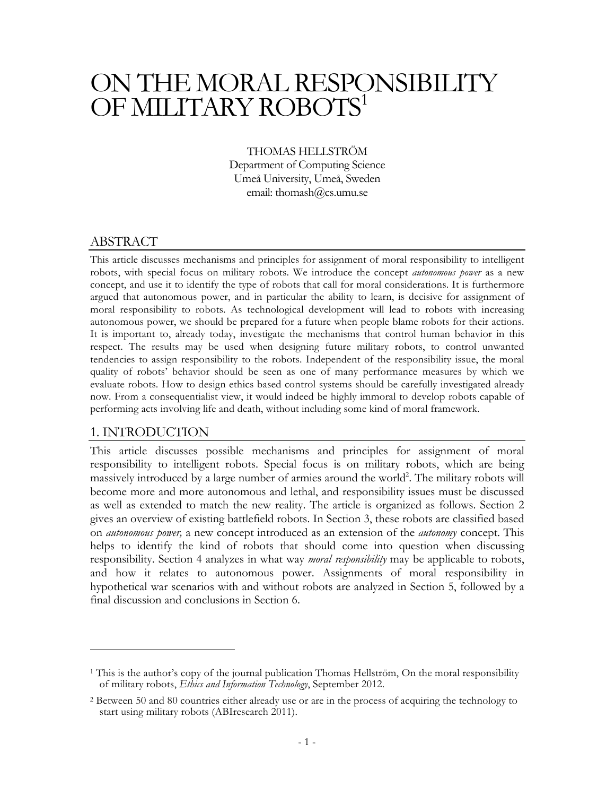# ON THE MORAL RESPONSIBILITY OF MILITARY ROBOTS<sup>1</sup>

THOMAS HELLSTRÖM Department of Computing Science Umeå University, Umeå, Sweden email: thomash@cs.umu.se

## ABSTRACT

This article discusses mechanisms and principles for assignment of moral responsibility to intelligent robots, with special focus on military robots. We introduce the concept *autonomous power* as a new concept, and use it to identify the type of robots that call for moral considerations. It is furthermore argued that autonomous power, and in particular the ability to learn, is decisive for assignment of moral responsibility to robots. As technological development will lead to robots with increasing autonomous power, we should be prepared for a future when people blame robots for their actions. It is important to, already today, investigate the mechanisms that control human behavior in this respect. The results may be used when designing future military robots, to control unwanted tendencies to assign responsibility to the robots. Independent of the responsibility issue, the moral quality of robots' behavior should be seen as one of many performance measures by which we evaluate robots. How to design ethics based control systems should be carefully investigated already now. From a consequentialist view, it would indeed be highly immoral to develop robots capable of performing acts involving life and death, without including some kind of moral framework.

## 1. INTRODUCTION

 $\overline{a}$ 

This article discusses possible mechanisms and principles for assignment of moral responsibility to intelligent robots. Special focus is on military robots, which are being massively introduced by a large number of armies around the world<sup>2</sup>. The military robots will become more and more autonomous and lethal, and responsibility issues must be discussed as well as extended to match the new reality. The article is organized as follows. Section 2 gives an overview of existing battlefield robots. In Section 3, these robots are classified based on *autonomous power,* a new concept introduced as an extension of the *autonomy* concept. This helps to identify the kind of robots that should come into question when discussing responsibility. Section 4 analyzes in what way *moral responsibility* may be applicable to robots, and how it relates to autonomous power. Assignments of moral responsibility in hypothetical war scenarios with and without robots are analyzed in Section 5, followed by a final discussion and conclusions in Section 6.

<sup>1</sup> This is the author's copy of the journal publication Thomas Hellström, On the moral responsibility of military robots, *Ethics and Information Technology*, September 2012.

<sup>2</sup> Between 50 and 80 countries either already use or are in the process of acquiring the technology to start using military robots (ABIresearch 2011).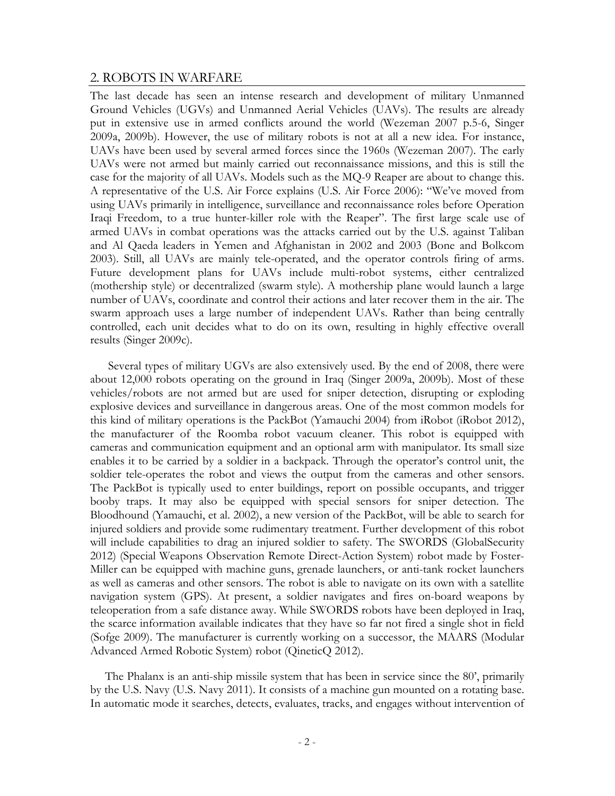### 2. ROBOTS IN WARFARE

The last decade has seen an intense research and development of military Unmanned Ground Vehicles (UGVs) and Unmanned Aerial Vehicles (UAVs). The results are already put in extensive use in armed conflicts around the world (Wezeman 2007 p.5-6, Singer 2009a, 2009b). However, the use of military robots is not at all a new idea. For instance, UAVs have been used by several armed forces since the 1960s (Wezeman 2007). The early UAVs were not armed but mainly carried out reconnaissance missions, and this is still the case for the majority of all UAVs. Models such as the MQ-9 Reaper are about to change this. A representative of the U.S. Air Force explains (U.S. Air Force 2006): "We've moved from using UAVs primarily in intelligence, surveillance and reconnaissance roles before Operation Iraqi Freedom, to a true hunter-killer role with the Reaper". The first large scale use of armed UAVs in combat operations was the attacks carried out by the U.S. against Taliban and Al Qaeda leaders in Yemen and Afghanistan in 2002 and 2003 (Bone and Bolkcom 2003). Still, all UAVs are mainly tele-operated, and the operator controls firing of arms. Future development plans for UAVs include multi-robot systems, either centralized (mothership style) or decentralized (swarm style). A mothership plane would launch a large number of UAVs, coordinate and control their actions and later recover them in the air. The swarm approach uses a large number of independent UAVs. Rather than being centrally controlled, each unit decides what to do on its own, resulting in highly effective overall results (Singer 2009c).

 Several types of military UGVs are also extensively used. By the end of 2008, there were about 12,000 robots operating on the ground in Iraq (Singer 2009a, 2009b). Most of these vehicles/robots are not armed but are used for sniper detection, disrupting or exploding explosive devices and surveillance in dangerous areas. One of the most common models for this kind of military operations is the PackBot (Yamauchi 2004) from iRobot (iRobot 2012), the manufacturer of the Roomba robot vacuum cleaner. This robot is equipped with cameras and communication equipment and an optional arm with manipulator. Its small size enables it to be carried by a soldier in a backpack. Through the operator's control unit, the soldier tele-operates the robot and views the output from the cameras and other sensors. The PackBot is typically used to enter buildings, report on possible occupants, and trigger booby traps. It may also be equipped with special sensors for sniper detection. The Bloodhound (Yamauchi, et al. 2002), a new version of the PackBot, will be able to search for injured soldiers and provide some rudimentary treatment. Further development of this robot will include capabilities to drag an injured soldier to safety. The SWORDS (GlobalSecurity 2012) (Special Weapons Observation Remote Direct-Action System) robot made by Foster-Miller can be equipped with machine guns, grenade launchers, or anti-tank rocket launchers as well as cameras and other sensors. The robot is able to navigate on its own with a satellite navigation system (GPS). At present, a soldier navigates and fires on-board weapons by teleoperation from a safe distance away. While SWORDS robots have been deployed in Iraq, the scarce information available indicates that they have so far not fired a single shot in field (Sofge 2009). The manufacturer is currently working on a successor, the MAARS (Modular Advanced Armed Robotic System) robot (QineticQ 2012).

 The Phalanx is an anti-ship missile system that has been in service since the 80', primarily by the U.S. Navy (U.S. Navy 2011). It consists of a machine gun mounted on a rotating base. In automatic mode it searches, detects, evaluates, tracks, and engages without intervention of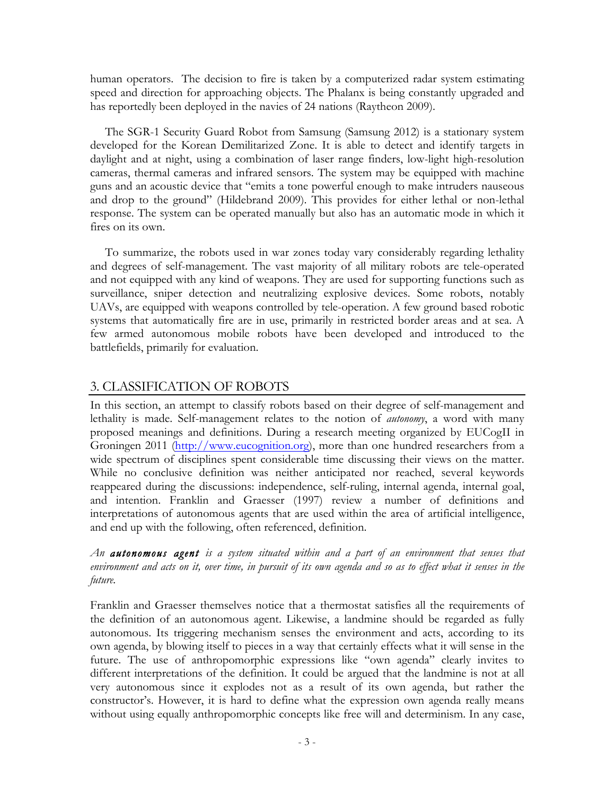human operators. The decision to fire is taken by a computerized radar system estimating speed and direction for approaching objects. The Phalanx is being constantly upgraded and has reportedly been deployed in the navies of 24 nations (Raytheon 2009).

 The SGR-1 Security Guard Robot from Samsung (Samsung 2012) is a stationary system developed for the Korean Demilitarized Zone. It is able to detect and identify targets in daylight and at night, using a combination of laser range finders, low-light high-resolution cameras, thermal cameras and infrared sensors. The system may be equipped with machine guns and an acoustic device that "emits a tone powerful enough to make intruders nauseous and drop to the ground" (Hildebrand 2009). This provides for either lethal or non-lethal response. The system can be operated manually but also has an automatic mode in which it fires on its own.

 To summarize, the robots used in war zones today vary considerably regarding lethality and degrees of self-management. The vast majority of all military robots are tele-operated and not equipped with any kind of weapons. They are used for supporting functions such as surveillance, sniper detection and neutralizing explosive devices. Some robots, notably UAVs, are equipped with weapons controlled by tele-operation. A few ground based robotic systems that automatically fire are in use, primarily in restricted border areas and at sea. A few armed autonomous mobile robots have been developed and introduced to the battlefields, primarily for evaluation.

## 3. CLASSIFICATION OF ROBOTS

In this section, an attempt to classify robots based on their degree of self-management and lethality is made. Self-management relates to the notion of *autonomy*, a word with many proposed meanings and definitions. During a research meeting organized by EUCogII in Groningen 2011 (http://www.eucognition.org), more than one hundred researchers from a wide spectrum of disciplines spent considerable time discussing their views on the matter. While no conclusive definition was neither anticipated nor reached, several keywords reappeared during the discussions: independence, self-ruling, internal agenda, internal goal, and intention. Franklin and Graesser (1997) review a number of definitions and interpretations of autonomous agents that are used within the area of artificial intelligence, and end up with the following, often referenced, definition.

*An autonomous agent is a system situated within and a part of an environment that senses that environment and acts on it, over time, in pursuit of its own agenda and so as to effect what it senses in the future.*

Franklin and Graesser themselves notice that a thermostat satisfies all the requirements of the definition of an autonomous agent. Likewise, a landmine should be regarded as fully autonomous. Its triggering mechanism senses the environment and acts, according to its own agenda, by blowing itself to pieces in a way that certainly effects what it will sense in the future. The use of anthropomorphic expressions like "own agenda" clearly invites to different interpretations of the definition. It could be argued that the landmine is not at all very autonomous since it explodes not as a result of its own agenda, but rather the constructor's. However, it is hard to define what the expression own agenda really means without using equally anthropomorphic concepts like free will and determinism. In any case,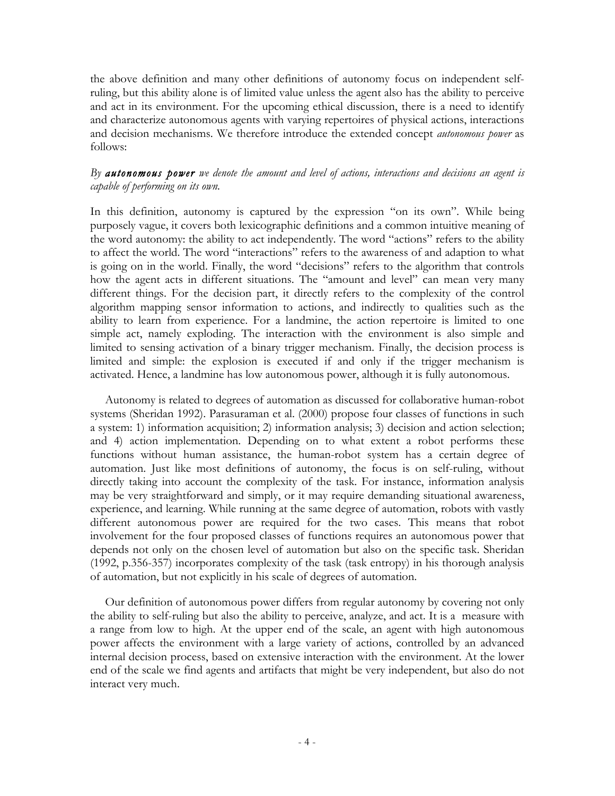the above definition and many other definitions of autonomy focus on independent selfruling, but this ability alone is of limited value unless the agent also has the ability to perceive and act in its environment. For the upcoming ethical discussion, there is a need to identify and characterize autonomous agents with varying repertoires of physical actions, interactions and decision mechanisms. We therefore introduce the extended concept *autonomous power* as follows:

#### *By autonomous power we denote the amount and level of actions, interactions and decisions an agent is capable of performing on its own.*

In this definition, autonomy is captured by the expression "on its own". While being purposely vague, it covers both lexicographic definitions and a common intuitive meaning of the word autonomy: the ability to act independently. The word "actions" refers to the ability to affect the world. The word "interactions" refers to the awareness of and adaption to what is going on in the world. Finally, the word "decisions" refers to the algorithm that controls how the agent acts in different situations. The "amount and level" can mean very many different things. For the decision part, it directly refers to the complexity of the control algorithm mapping sensor information to actions, and indirectly to qualities such as the ability to learn from experience. For a landmine, the action repertoire is limited to one simple act, namely exploding. The interaction with the environment is also simple and limited to sensing activation of a binary trigger mechanism. Finally, the decision process is limited and simple: the explosion is executed if and only if the trigger mechanism is activated. Hence, a landmine has low autonomous power, although it is fully autonomous.

 Autonomy is related to degrees of automation as discussed for collaborative human-robot systems (Sheridan 1992). Parasuraman et al. (2000) propose four classes of functions in such a system: 1) information acquisition; 2) information analysis; 3) decision and action selection; and 4) action implementation. Depending on to what extent a robot performs these functions without human assistance, the human-robot system has a certain degree of automation. Just like most definitions of autonomy, the focus is on self-ruling, without directly taking into account the complexity of the task. For instance, information analysis may be very straightforward and simply, or it may require demanding situational awareness, experience, and learning. While running at the same degree of automation, robots with vastly different autonomous power are required for the two cases. This means that robot involvement for the four proposed classes of functions requires an autonomous power that depends not only on the chosen level of automation but also on the specific task. Sheridan (1992, p.356-357) incorporates complexity of the task (task entropy) in his thorough analysis of automation, but not explicitly in his scale of degrees of automation.

 Our definition of autonomous power differs from regular autonomy by covering not only the ability to self-ruling but also the ability to perceive, analyze, and act. It is a measure with a range from low to high. At the upper end of the scale, an agent with high autonomous power affects the environment with a large variety of actions, controlled by an advanced internal decision process, based on extensive interaction with the environment. At the lower end of the scale we find agents and artifacts that might be very independent, but also do not interact very much.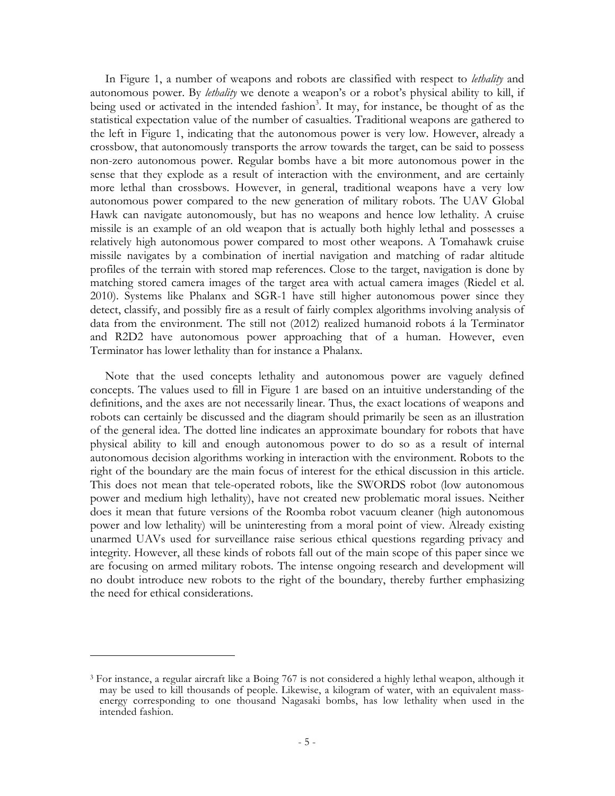In Figure 1, a number of weapons and robots are classified with respect to *lethality* and autonomous power. By *lethality* we denote a weapon's or a robot's physical ability to kill, if being used or activated in the intended fashion<sup>3</sup>. It may, for instance, be thought of as the statistical expectation value of the number of casualties. Traditional weapons are gathered to the left in Figure 1, indicating that the autonomous power is very low. However, already a crossbow, that autonomously transports the arrow towards the target, can be said to possess non-zero autonomous power. Regular bombs have a bit more autonomous power in the sense that they explode as a result of interaction with the environment, and are certainly more lethal than crossbows. However, in general, traditional weapons have a very low autonomous power compared to the new generation of military robots. The UAV Global Hawk can navigate autonomously, but has no weapons and hence low lethality. A cruise missile is an example of an old weapon that is actually both highly lethal and possesses a relatively high autonomous power compared to most other weapons. A Tomahawk cruise missile navigates by a combination of inertial navigation and matching of radar altitude profiles of the terrain with stored map references. Close to the target, navigation is done by matching stored camera images of the target area with actual camera images (Riedel et al. 2010). Systems like Phalanx and SGR-1 have still higher autonomous power since they detect, classify, and possibly fire as a result of fairly complex algorithms involving analysis of data from the environment. The still not (2012) realized humanoid robots á la Terminator and R2D2 have autonomous power approaching that of a human. However, even Terminator has lower lethality than for instance a Phalanx.

 Note that the used concepts lethality and autonomous power are vaguely defined concepts. The values used to fill in Figure 1 are based on an intuitive understanding of the definitions, and the axes are not necessarily linear. Thus, the exact locations of weapons and robots can certainly be discussed and the diagram should primarily be seen as an illustration of the general idea. The dotted line indicates an approximate boundary for robots that have physical ability to kill and enough autonomous power to do so as a result of internal autonomous decision algorithms working in interaction with the environment. Robots to the right of the boundary are the main focus of interest for the ethical discussion in this article. This does not mean that tele-operated robots, like the SWORDS robot (low autonomous power and medium high lethality), have not created new problematic moral issues. Neither does it mean that future versions of the Roomba robot vacuum cleaner (high autonomous power and low lethality) will be uninteresting from a moral point of view. Already existing unarmed UAVs used for surveillance raise serious ethical questions regarding privacy and integrity. However, all these kinds of robots fall out of the main scope of this paper since we are focusing on armed military robots. The intense ongoing research and development will no doubt introduce new robots to the right of the boundary, thereby further emphasizing the need for ethical considerations.

 $\overline{a}$ 

<sup>&</sup>lt;sup>3</sup> For instance, a regular aircraft like a Boing 767 is not considered a highly lethal weapon, although it may be used to kill thousands of people. Likewise, a kilogram of water, with an equivalent mass- energy corresponding to one thousand Nagasaki bombs, has low lethality when used in the intended fashion.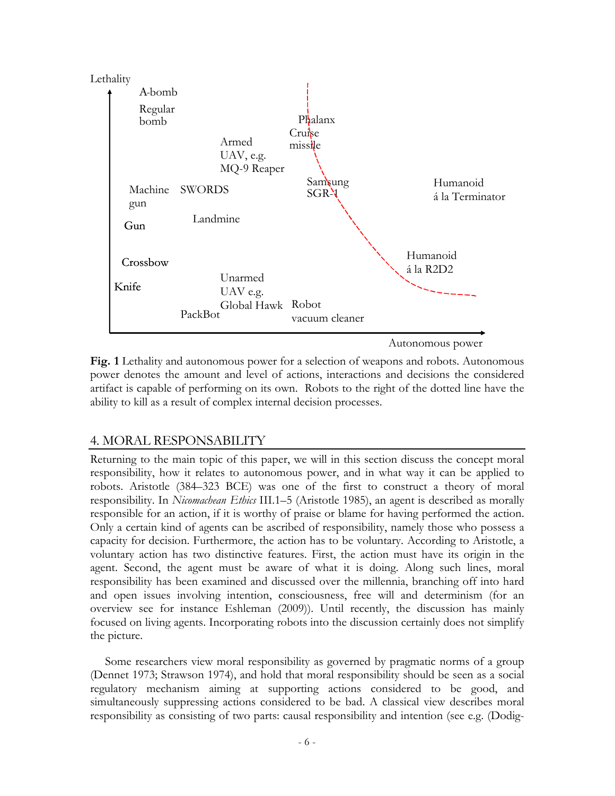

**Fig. 1** Lethality and autonomous power for a selection of weapons and robots. Autonomous power denotes the amount and level of actions, interactions and decisions the considered artifact is capable of performing on its own. Robots to the right of the dotted line have the ability to kill as a result of complex internal decision processes.

#### 4. MORAL RESPONSABILITY

Returning to the main topic of this paper, we will in this section discuss the concept moral responsibility, how it relates to autonomous power, and in what way it can be applied to robots. Aristotle (384–323 BCE) was one of the first to construct a theory of moral responsibility. In *Nicomachean Ethics* III.1–5 (Aristotle 1985), an agent is described as morally responsible for an action, if it is worthy of praise or blame for having performed the action. Only a certain kind of agents can be ascribed of responsibility, namely those who possess a capacity for decision. Furthermore, the action has to be voluntary. According to Aristotle, a voluntary action has two distinctive features. First, the action must have its origin in the agent. Second, the agent must be aware of what it is doing. Along such lines, moral responsibility has been examined and discussed over the millennia, branching off into hard and open issues involving intention, consciousness, free will and determinism (for an overview see for instance Eshleman (2009)). Until recently, the discussion has mainly focused on living agents. Incorporating robots into the discussion certainly does not simplify the picture.

 Some researchers view moral responsibility as governed by pragmatic norms of a group (Dennet 1973; Strawson 1974), and hold that moral responsibility should be seen as a social regulatory mechanism aiming at supporting actions considered to be good, and simultaneously suppressing actions considered to be bad. A classical view describes moral responsibility as consisting of two parts: causal responsibility and intention (see e.g. (Dodig-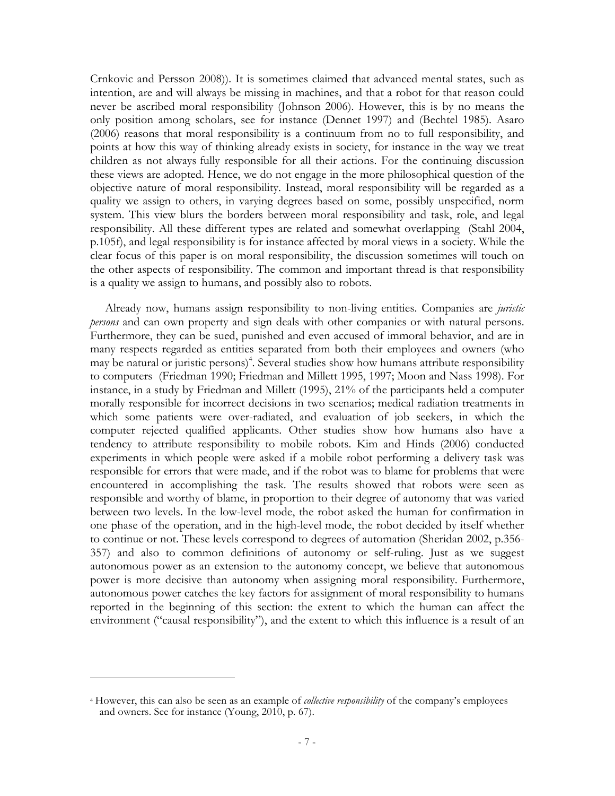Crnkovic and Persson 2008)). It is sometimes claimed that advanced mental states, such as intention, are and will always be missing in machines, and that a robot for that reason could never be ascribed moral responsibility (Johnson 2006). However, this is by no means the only position among scholars, see for instance (Dennet 1997) and (Bechtel 1985). Asaro (2006) reasons that moral responsibility is a continuum from no to full responsibility, and points at how this way of thinking already exists in society, for instance in the way we treat children as not always fully responsible for all their actions. For the continuing discussion these views are adopted. Hence, we do not engage in the more philosophical question of the objective nature of moral responsibility. Instead, moral responsibility will be regarded as a quality we assign to others, in varying degrees based on some, possibly unspecified, norm system. This view blurs the borders between moral responsibility and task, role, and legal responsibility. All these different types are related and somewhat overlapping (Stahl 2004, p.105f), and legal responsibility is for instance affected by moral views in a society. While the clear focus of this paper is on moral responsibility, the discussion sometimes will touch on the other aspects of responsibility. The common and important thread is that responsibility is a quality we assign to humans, and possibly also to robots.

 Already now, humans assign responsibility to non-living entities. Companies are *juristic persons* and can own property and sign deals with other companies or with natural persons. Furthermore, they can be sued, punished and even accused of immoral behavior, and are in many respects regarded as entities separated from both their employees and owners (who may be natural or juristic persons)<sup>4</sup>. Several studies show how humans attribute responsibility to computers (Friedman 1990; Friedman and Millett 1995, 1997; Moon and Nass 1998). For instance, in a study by Friedman and Millett (1995), 21% of the participants held a computer morally responsible for incorrect decisions in two scenarios; medical radiation treatments in which some patients were over-radiated, and evaluation of job seekers, in which the computer rejected qualified applicants. Other studies show how humans also have a tendency to attribute responsibility to mobile robots. Kim and Hinds (2006) conducted experiments in which people were asked if a mobile robot performing a delivery task was responsible for errors that were made, and if the robot was to blame for problems that were encountered in accomplishing the task. The results showed that robots were seen as responsible and worthy of blame, in proportion to their degree of autonomy that was varied between two levels. In the low-level mode, the robot asked the human for confirmation in one phase of the operation, and in the high-level mode, the robot decided by itself whether to continue or not. These levels correspond to degrees of automation (Sheridan 2002, p.356- 357) and also to common definitions of autonomy or self-ruling. Just as we suggest autonomous power as an extension to the autonomy concept, we believe that autonomous power is more decisive than autonomy when assigning moral responsibility. Furthermore, autonomous power catches the key factors for assignment of moral responsibility to humans reported in the beginning of this section: the extent to which the human can affect the environment ("causal responsibility"), and the extent to which this influence is a result of an

1

<sup>4</sup> However, this can also be seen as an example of *collective responsibility* of the company's employees and owners. See for instance (Young, 2010, p. 67).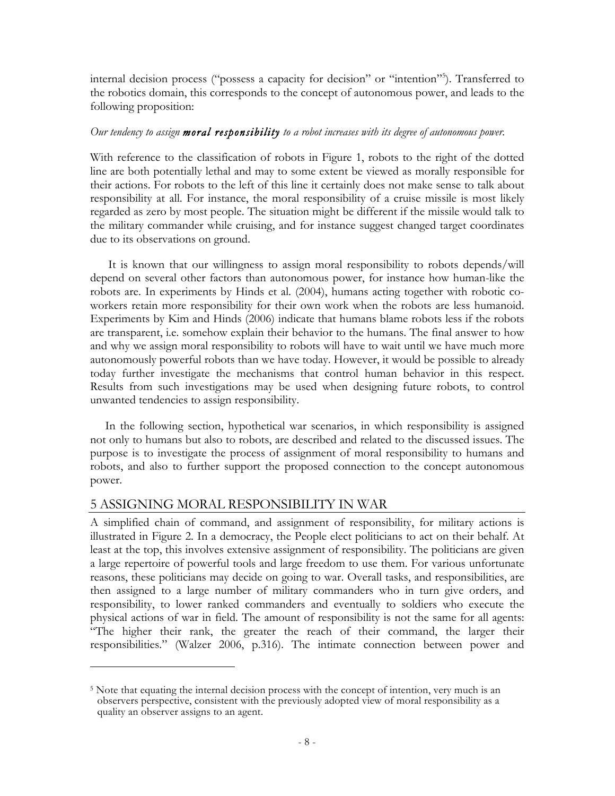internal decision process ("possess a capacity for decision" or "intention"<sup>5</sup>). Transferred to the robotics domain, this corresponds to the concept of autonomous power, and leads to the following proposition:

#### *Our tendency to assign moral responsibility to a robot increases with its degree of autonomous power.*

With reference to the classification of robots in Figure 1, robots to the right of the dotted line are both potentially lethal and may to some extent be viewed as morally responsible for their actions. For robots to the left of this line it certainly does not make sense to talk about responsibility at all. For instance, the moral responsibility of a cruise missile is most likely regarded as zero by most people. The situation might be different if the missile would talk to the military commander while cruising, and for instance suggest changed target coordinates due to its observations on ground.

 It is known that our willingness to assign moral responsibility to robots depends/will depend on several other factors than autonomous power, for instance how human-like the robots are. In experiments by Hinds et al. (2004), humans acting together with robotic coworkers retain more responsibility for their own work when the robots are less humanoid. Experiments by Kim and Hinds (2006) indicate that humans blame robots less if the robots are transparent, i.e. somehow explain their behavior to the humans. The final answer to how and why we assign moral responsibility to robots will have to wait until we have much more autonomously powerful robots than we have today. However, it would be possible to already today further investigate the mechanisms that control human behavior in this respect. Results from such investigations may be used when designing future robots, to control unwanted tendencies to assign responsibility.

 In the following section, hypothetical war scenarios, in which responsibility is assigned not only to humans but also to robots, are described and related to the discussed issues. The purpose is to investigate the process of assignment of moral responsibility to humans and robots, and also to further support the proposed connection to the concept autonomous power.

## 5 ASSIGNING MORAL RESPONSIBILITY IN WAR

 $\overline{a}$ 

A simplified chain of command, and assignment of responsibility, for military actions is illustrated in Figure 2. In a democracy, the People elect politicians to act on their behalf. At least at the top, this involves extensive assignment of responsibility. The politicians are given a large repertoire of powerful tools and large freedom to use them. For various unfortunate reasons, these politicians may decide on going to war. Overall tasks, and responsibilities, are then assigned to a large number of military commanders who in turn give orders, and responsibility, to lower ranked commanders and eventually to soldiers who execute the physical actions of war in field. The amount of responsibility is not the same for all agents: "The higher their rank, the greater the reach of their command, the larger their responsibilities." (Walzer 2006, p.316). The intimate connection between power and

<sup>&</sup>lt;sup>5</sup> Note that equating the internal decision process with the concept of intention, very much is an observers perspective, consistent with the previously adopted view of moral responsibility as a quality an observer assigns to an agent.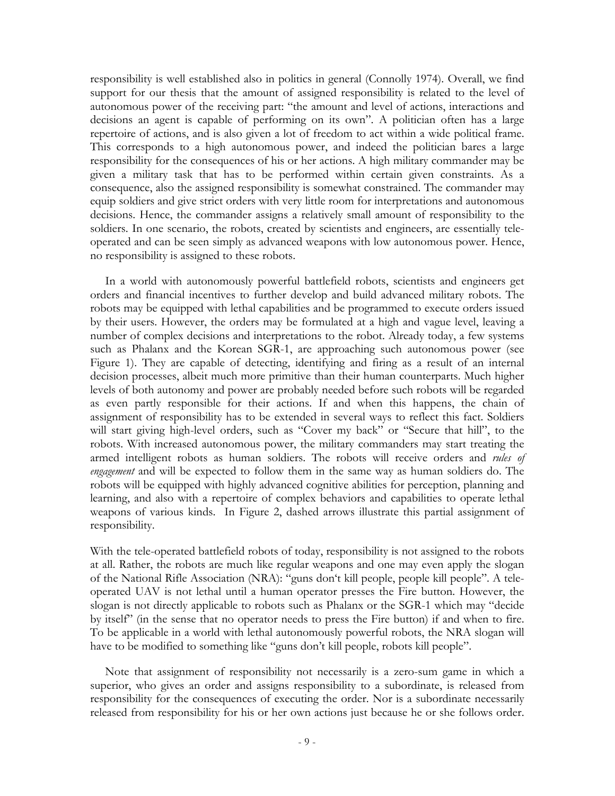responsibility is well established also in politics in general (Connolly 1974). Overall, we find support for our thesis that the amount of assigned responsibility is related to the level of autonomous power of the receiving part: "the amount and level of actions, interactions and decisions an agent is capable of performing on its own". A politician often has a large repertoire of actions, and is also given a lot of freedom to act within a wide political frame. This corresponds to a high autonomous power, and indeed the politician bares a large responsibility for the consequences of his or her actions. A high military commander may be given a military task that has to be performed within certain given constraints. As a consequence, also the assigned responsibility is somewhat constrained. The commander may equip soldiers and give strict orders with very little room for interpretations and autonomous decisions. Hence, the commander assigns a relatively small amount of responsibility to the soldiers. In one scenario, the robots, created by scientists and engineers, are essentially teleoperated and can be seen simply as advanced weapons with low autonomous power. Hence, no responsibility is assigned to these robots.

 In a world with autonomously powerful battlefield robots, scientists and engineers get orders and financial incentives to further develop and build advanced military robots. The robots may be equipped with lethal capabilities and be programmed to execute orders issued by their users. However, the orders may be formulated at a high and vague level, leaving a number of complex decisions and interpretations to the robot. Already today, a few systems such as Phalanx and the Korean SGR-1, are approaching such autonomous power (see Figure 1). They are capable of detecting, identifying and firing as a result of an internal decision processes, albeit much more primitive than their human counterparts. Much higher levels of both autonomy and power are probably needed before such robots will be regarded as even partly responsible for their actions. If and when this happens, the chain of assignment of responsibility has to be extended in several ways to reflect this fact. Soldiers will start giving high-level orders, such as "Cover my back" or "Secure that hill", to the robots. With increased autonomous power, the military commanders may start treating the armed intelligent robots as human soldiers. The robots will receive orders and *rules of engagement* and will be expected to follow them in the same way as human soldiers do. The robots will be equipped with highly advanced cognitive abilities for perception, planning and learning, and also with a repertoire of complex behaviors and capabilities to operate lethal weapons of various kinds. In Figure 2, dashed arrows illustrate this partial assignment of responsibility.

With the tele-operated battlefield robots of today, responsibility is not assigned to the robots at all. Rather, the robots are much like regular weapons and one may even apply the slogan of the National Rifle Association (NRA): "guns don't kill people, people kill people". A teleoperated UAV is not lethal until a human operator presses the Fire button. However, the slogan is not directly applicable to robots such as Phalanx or the SGR-1 which may "decide by itself" (in the sense that no operator needs to press the Fire button) if and when to fire. To be applicable in a world with lethal autonomously powerful robots, the NRA slogan will have to be modified to something like "guns don't kill people, robots kill people".

 Note that assignment of responsibility not necessarily is a zero-sum game in which a superior, who gives an order and assigns responsibility to a subordinate, is released from responsibility for the consequences of executing the order. Nor is a subordinate necessarily released from responsibility for his or her own actions just because he or she follows order.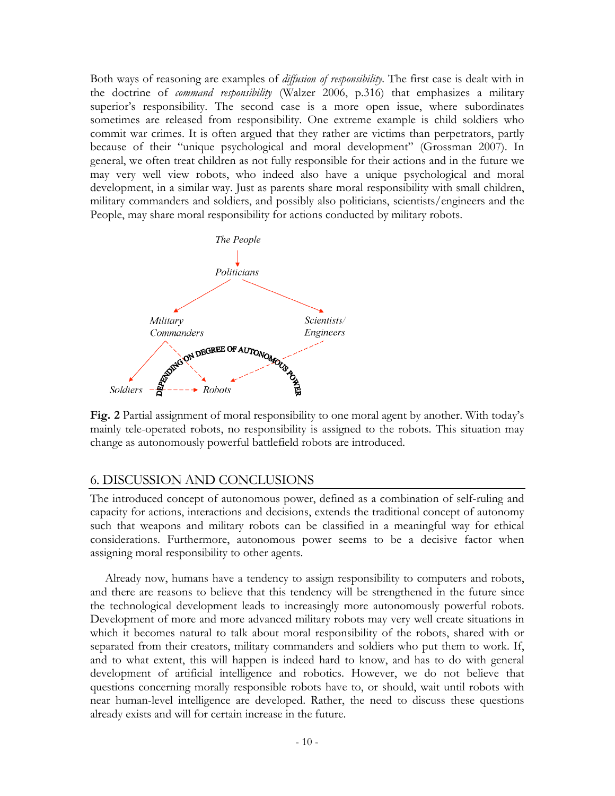Both ways of reasoning are examples of *diffusion of responsibility.* The first case is dealt with in the doctrine of *command responsibility* (Walzer 2006, p.316) that emphasizes a military superior's responsibility. The second case is a more open issue, where subordinates sometimes are released from responsibility. One extreme example is child soldiers who commit war crimes. It is often argued that they rather are victims than perpetrators, partly because of their "unique psychological and moral development" (Grossman 2007). In general, we often treat children as not fully responsible for their actions and in the future we may very well view robots, who indeed also have a unique psychological and moral development, in a similar way. Just as parents share moral responsibility with small children, military commanders and soldiers, and possibly also politicians, scientists/engineers and the People, may share moral responsibility for actions conducted by military robots.



**Fig. 2** Partial assignment of moral responsibility to one moral agent by another. With today's mainly tele-operated robots, no responsibility is assigned to the robots. This situation may change as autonomously powerful battlefield robots are introduced.

#### 6. DISCUSSION AND CONCLUSIONS

The introduced concept of autonomous power, defined as a combination of self-ruling and capacity for actions, interactions and decisions, extends the traditional concept of autonomy such that weapons and military robots can be classified in a meaningful way for ethical considerations. Furthermore, autonomous power seems to be a decisive factor when assigning moral responsibility to other agents.

 Already now, humans have a tendency to assign responsibility to computers and robots, and there are reasons to believe that this tendency will be strengthened in the future since the technological development leads to increasingly more autonomously powerful robots. Development of more and more advanced military robots may very well create situations in which it becomes natural to talk about moral responsibility of the robots, shared with or separated from their creators, military commanders and soldiers who put them to work. If, and to what extent, this will happen is indeed hard to know, and has to do with general development of artificial intelligence and robotics. However, we do not believe that questions concerning morally responsible robots have to, or should, wait until robots with near human-level intelligence are developed. Rather, the need to discuss these questions already exists and will for certain increase in the future.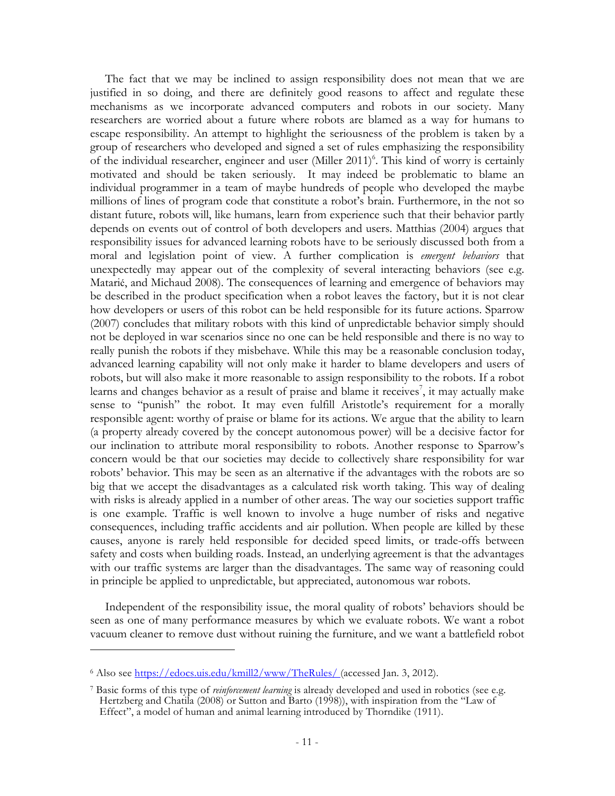The fact that we may be inclined to assign responsibility does not mean that we are justified in so doing, and there are definitely good reasons to affect and regulate these mechanisms as we incorporate advanced computers and robots in our society. Many researchers are worried about a future where robots are blamed as a way for humans to escape responsibility. An attempt to highlight the seriousness of the problem is taken by a group of researchers who developed and signed a set of rules emphasizing the responsibility of the individual researcher, engineer and user (Miller 2011) 6 . This kind of worry is certainly motivated and should be taken seriously. It may indeed be problematic to blame an individual programmer in a team of maybe hundreds of people who developed the maybe millions of lines of program code that constitute a robot's brain. Furthermore, in the not so distant future, robots will, like humans, learn from experience such that their behavior partly depends on events out of control of both developers and users. Matthias (2004) argues that responsibility issues for advanced learning robots have to be seriously discussed both from a moral and legislation point of view. A further complication is *emergent behaviors* that unexpectedly may appear out of the complexity of several interacting behaviors (see e.g. Matarić, and Michaud 2008). The consequences of learning and emergence of behaviors may be described in the product specification when a robot leaves the factory, but it is not clear how developers or users of this robot can be held responsible for its future actions. Sparrow (2007) concludes that military robots with this kind of unpredictable behavior simply should not be deployed in war scenarios since no one can be held responsible and there is no way to really punish the robots if they misbehave. While this may be a reasonable conclusion today, advanced learning capability will not only make it harder to blame developers and users of robots, but will also make it more reasonable to assign responsibility to the robots. If a robot learns and changes behavior as a result of praise and blame it receives<sup>7</sup>, it may actually make sense to "punish" the robot. It may even fulfill Aristotle's requirement for a morally responsible agent: worthy of praise or blame for its actions. We argue that the ability to learn (a property already covered by the concept autonomous power) will be a decisive factor for our inclination to attribute moral responsibility to robots. Another response to Sparrow's concern would be that our societies may decide to collectively share responsibility for war robots' behavior. This may be seen as an alternative if the advantages with the robots are so big that we accept the disadvantages as a calculated risk worth taking. This way of dealing with risks is already applied in a number of other areas. The way our societies support traffic is one example. Traffic is well known to involve a huge number of risks and negative consequences, including traffic accidents and air pollution. When people are killed by these causes, anyone is rarely held responsible for decided speed limits, or trade-offs between safety and costs when building roads. Instead, an underlying agreement is that the advantages with our traffic systems are larger than the disadvantages. The same way of reasoning could in principle be applied to unpredictable, but appreciated, autonomous war robots.

 Independent of the responsibility issue, the moral quality of robots' behaviors should be seen as one of many performance measures by which we evaluate robots. We want a robot vacuum cleaner to remove dust without ruining the furniture, and we want a battlefield robot

 $\overline{a}$ 

<sup>&</sup>lt;sup>6</sup> Also see https://edocs.uis.edu/kmill2/www/TheRules/ (accessed Jan. 3, 2012).

<sup>7</sup> Basic forms of this type of *reinforcement learning* is already developed and used in robotics (see e.g. Hertzberg and Chatila (2008) or Sutton and Barto (1998)), with inspiration from the "Law of Effect", a model of human and animal learning introduced by Thorndike (1911).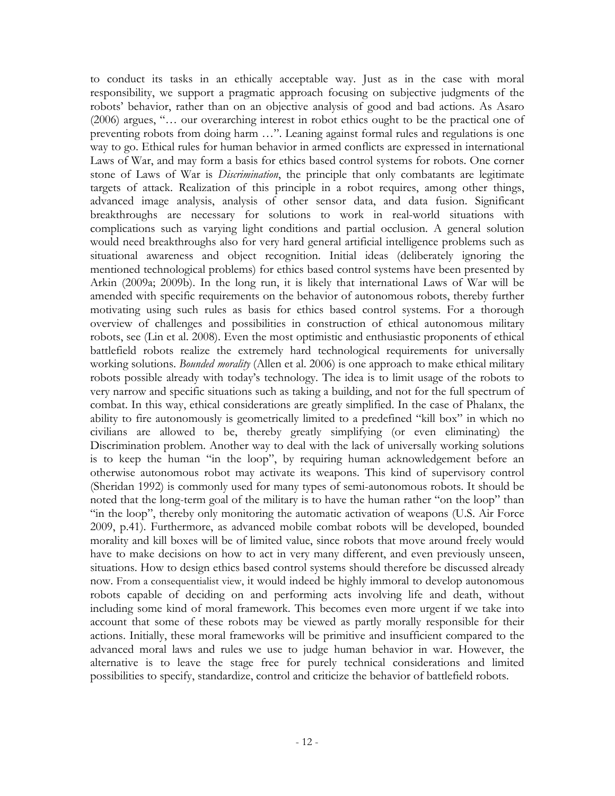to conduct its tasks in an ethically acceptable way. Just as in the case with moral responsibility, we support a pragmatic approach focusing on subjective judgments of the robots' behavior, rather than on an objective analysis of good and bad actions. As Asaro (2006) argues, "… our overarching interest in robot ethics ought to be the practical one of preventing robots from doing harm …". Leaning against formal rules and regulations is one way to go. Ethical rules for human behavior in armed conflicts are expressed in international Laws of War, and may form a basis for ethics based control systems for robots. One corner stone of Laws of War is *Discrimination*, the principle that only combatants are legitimate targets of attack. Realization of this principle in a robot requires, among other things, advanced image analysis, analysis of other sensor data, and data fusion. Significant breakthroughs are necessary for solutions to work in real-world situations with complications such as varying light conditions and partial occlusion. A general solution would need breakthroughs also for very hard general artificial intelligence problems such as situational awareness and object recognition. Initial ideas (deliberately ignoring the mentioned technological problems) for ethics based control systems have been presented by Arkin (2009a; 2009b). In the long run, it is likely that international Laws of War will be amended with specific requirements on the behavior of autonomous robots, thereby further motivating using such rules as basis for ethics based control systems. For a thorough overview of challenges and possibilities in construction of ethical autonomous military robots, see (Lin et al. 2008). Even the most optimistic and enthusiastic proponents of ethical battlefield robots realize the extremely hard technological requirements for universally working solutions. *Bounded morality* (Allen et al. 2006) is one approach to make ethical military robots possible already with today's technology. The idea is to limit usage of the robots to very narrow and specific situations such as taking a building, and not for the full spectrum of combat. In this way, ethical considerations are greatly simplified. In the case of Phalanx, the ability to fire autonomously is geometrically limited to a predefined "kill box" in which no civilians are allowed to be, thereby greatly simplifying (or even eliminating) the Discrimination problem. Another way to deal with the lack of universally working solutions is to keep the human "in the loop", by requiring human acknowledgement before an otherwise autonomous robot may activate its weapons. This kind of supervisory control (Sheridan 1992) is commonly used for many types of semi-autonomous robots. It should be noted that the long-term goal of the military is to have the human rather "on the loop" than "in the loop", thereby only monitoring the automatic activation of weapons (U.S. Air Force 2009, p.41). Furthermore, as advanced mobile combat robots will be developed, bounded morality and kill boxes will be of limited value, since robots that move around freely would have to make decisions on how to act in very many different, and even previously unseen, situations. How to design ethics based control systems should therefore be discussed already now. From a consequentialist view, it would indeed be highly immoral to develop autonomous robots capable of deciding on and performing acts involving life and death, without including some kind of moral framework. This becomes even more urgent if we take into account that some of these robots may be viewed as partly morally responsible for their actions. Initially, these moral frameworks will be primitive and insufficient compared to the advanced moral laws and rules we use to judge human behavior in war. However, the alternative is to leave the stage free for purely technical considerations and limited possibilities to specify, standardize, control and criticize the behavior of battlefield robots.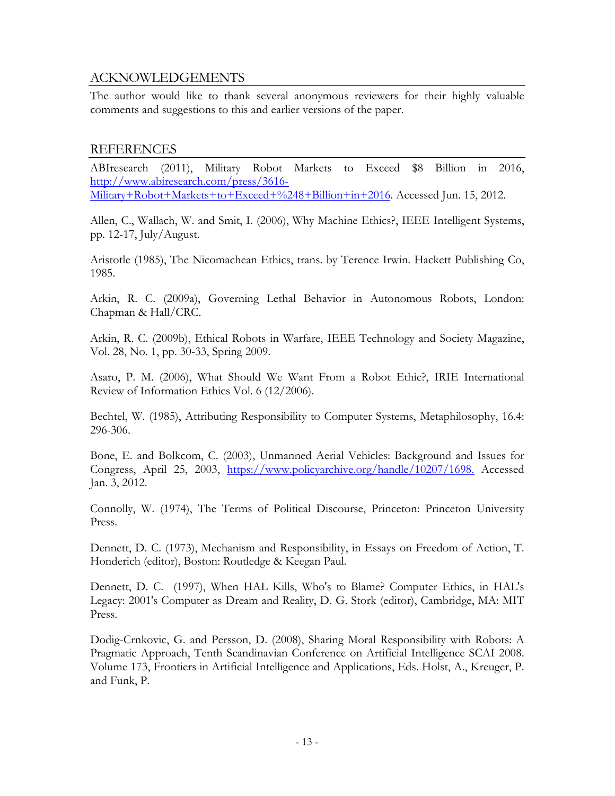## ACKNOWLEDGEMENTS

The author would like to thank several anonymous reviewers for their highly valuable comments and suggestions to this and earlier versions of the paper.

## REFERENCES

ABIresearch (2011), Military Robot Markets to Exceed \$8 Billion in 2016, http://www.abiresearch.com/press/3616- Military+Robot+Markets+to+Exceed+%248+Billion+in+2016. Accessed Jun. 15, 2012.

Allen, C., Wallach, W. and Smit, I. (2006), Why Machine Ethics?, IEEE Intelligent Systems, pp. 12-17, July/August.

Aristotle (1985), The Nicomachean Ethics, trans. by Terence Irwin. Hackett Publishing Co, 1985.

Arkin, R. C. (2009a), Governing Lethal Behavior in Autonomous Robots, London: Chapman & Hall/CRC.

Arkin, R. C. (2009b), Ethical Robots in Warfare, IEEE Technology and Society Magazine, Vol. 28, No. 1, pp. 30-33, Spring 2009.

Asaro, P. M. (2006), What Should We Want From a Robot Ethic?, IRIE International Review of Information Ethics Vol. 6 (12/2006).

Bechtel, W. (1985), Attributing Responsibility to Computer Systems, Metaphilosophy, 16.4: 296-306.

Bone, E. and Bolkcom, C. (2003), Unmanned Aerial Vehicles: Background and Issues for Congress, April 25, 2003, https://www.policyarchive.org/handle/10207/1698. Accessed Jan. 3, 2012.

Connolly, W. (1974), The Terms of Political Discourse, Princeton: Princeton University Press.

Dennett, D. C. (1973), Mechanism and Responsibility, in Essays on Freedom of Action, T. Honderich (editor), Boston: Routledge & Keegan Paul.

Dennett, D. C. (1997), When HAL Kills, Who's to Blame? Computer Ethics, in HAL's Legacy: 2001's Computer as Dream and Reality, D. G. Stork (editor), Cambridge, MA: MIT Press.

Dodig-Crnkovic, G. and Persson, D. (2008), Sharing Moral Responsibility with Robots: A Pragmatic Approach, Tenth Scandinavian Conference on Artificial Intelligence SCAI 2008. Volume 173, Frontiers in Artificial Intelligence and Applications, Eds. Holst, A., Kreuger, P. and Funk, P.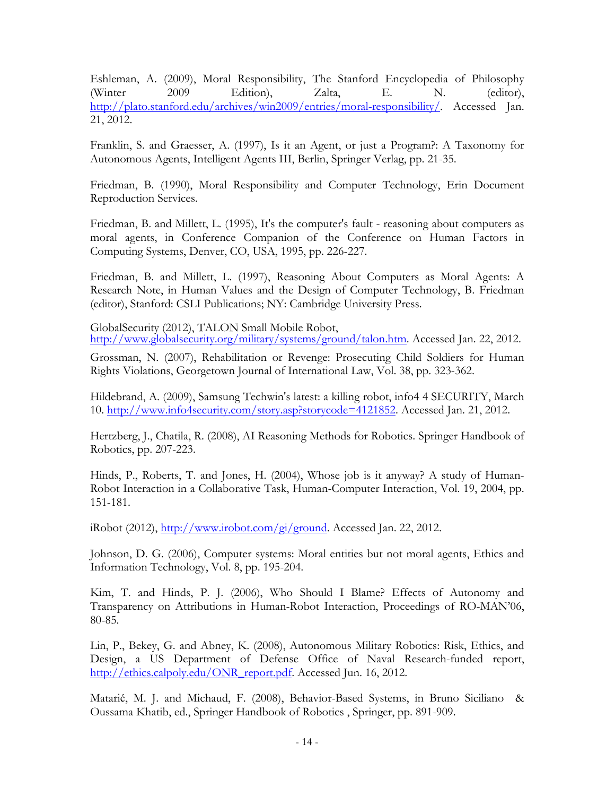Eshleman, A. (2009), Moral Responsibility, The Stanford Encyclopedia of Philosophy (Winter 2009 Edition), Zalta, E. N. (editor), http://plato.stanford.edu/archives/win2009/entries/moral-responsibility/. Accessed Jan. 21, 2012.

Franklin, S. and Graesser, A. (1997), Is it an Agent, or just a Program?: A Taxonomy for Autonomous Agents, Intelligent Agents III, Berlin, Springer Verlag, pp. 21-35.

Friedman, B. (1990), Moral Responsibility and Computer Technology, Erin Document Reproduction Services.

Friedman, B. and Millett, L. (1995), It's the computer's fault - reasoning about computers as moral agents, in Conference Companion of the Conference on Human Factors in Computing Systems, Denver, CO, USA, 1995, pp. 226-227.

Friedman, B. and Millett, L. (1997), Reasoning About Computers as Moral Agents: A Research Note, in Human Values and the Design of Computer Technology, B. Friedman (editor), Stanford: CSLI Publications; NY: Cambridge University Press.

GlobalSecurity (2012), TALON Small Mobile Robot, http://www.globalsecurity.org/military/systems/ground/talon.htm. Accessed Jan. 22, 2012.

Grossman, N. (2007), Rehabilitation or Revenge: Prosecuting Child Soldiers for Human Rights Violations, Georgetown Journal of International Law, Vol. 38, pp. 323-362.

Hildebrand, A. (2009), Samsung Techwin's latest: a killing robot, info4 4 SECURITY, March 10. http://www.info4security.com/story.asp?storycode=4121852. Accessed Jan. 21, 2012.

Hertzberg, J., Chatila, R. (2008), AI Reasoning Methods for Robotics. Springer Handbook of Robotics, pp. 207-223.

Hinds, P., Roberts, T. and Jones, H. (2004), Whose job is it anyway? A study of Human-Robot Interaction in a Collaborative Task, Human-Computer Interaction, Vol. 19, 2004, pp. 151-181.

iRobot (2012), http://www.irobot.com/gi/ground. Accessed Jan. 22, 2012.

Johnson, D. G. (2006), Computer systems: Moral entities but not moral agents, Ethics and Information Technology, Vol. 8, pp. 195-204.

Kim, T. and Hinds, P. J. (2006), Who Should I Blame? Effects of Autonomy and Transparency on Attributions in Human-Robot Interaction, Proceedings of RO-MAN'06, 80-85.

Lin, P., Bekey, G. and Abney, K. (2008), Autonomous Military Robotics: Risk, Ethics, and Design, a US Department of Defense Office of Naval Research-funded report, http://ethics.calpoly.edu/ONR\_report.pdf. Accessed Jun. 16, 2012.

Matarić, M. J. and Michaud, F. (2008), Behavior-Based Systems, in Bruno Siciliano & Oussama Khatib, ed., Springer Handbook of Robotics , Springer, pp. 891-909.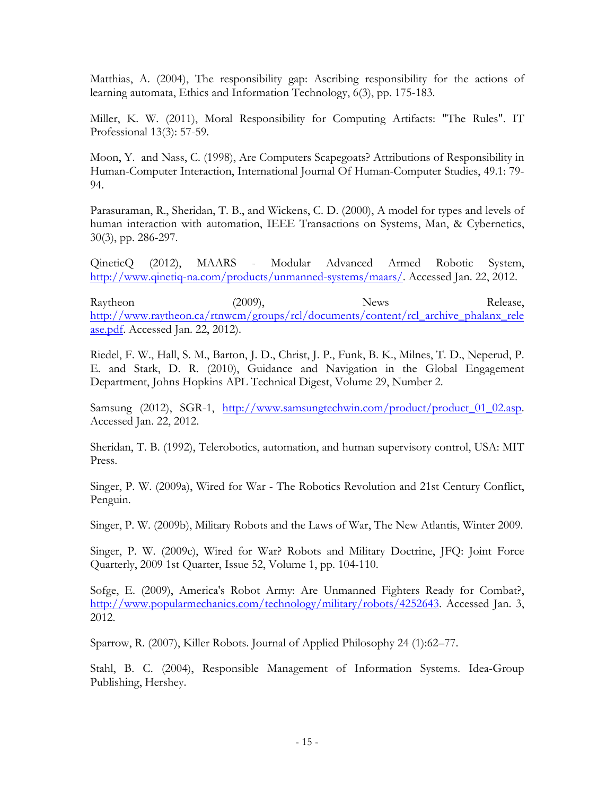Matthias, A. (2004), The responsibility gap: Ascribing responsibility for the actions of learning automata, Ethics and Information Technology, 6(3), pp. 175-183.

Miller, K. W. (2011), Moral Responsibility for Computing Artifacts: "The Rules". IT Professional 13(3): 57-59.

Moon, Y. and Nass, C. (1998), Are Computers Scapegoats? Attributions of Responsibility in Human-Computer Interaction, International Journal Of Human-Computer Studies, 49.1: 79- 94.

Parasuraman, R., Sheridan, T. B., and Wickens, C. D. (2000), A model for types and levels of human interaction with automation, IEEE Transactions on Systems, Man, & Cybernetics, 30(3), pp. 286-297.

QineticQ (2012), MAARS - Modular Advanced Armed Robotic System, http://www.qinetiq-na.com/products/unmanned-systems/maars/. Accessed Jan. 22, 2012.

Raytheon (2009), News Release, http://www.raytheon.ca/rtnwcm/groups/rcl/documents/content/rcl\_archive\_phalanx\_rele ase.pdf. Accessed Jan. 22, 2012).

Riedel, F. W., Hall, S. M., Barton, J. D., Christ, J. P., Funk, B. K., Milnes, T. D., Neperud, P. E. and Stark, D. R. (2010), Guidance and Navigation in the Global Engagement Department, Johns Hopkins APL Technical Digest, Volume 29, Number 2.

Samsung (2012), SGR-1, http://www.samsungtechwin.com/product/product\_01\_02.asp. Accessed Jan. 22, 2012.

Sheridan, T. B. (1992), Telerobotics, automation, and human supervisory control, USA: MIT Press.

Singer, P. W. (2009a), Wired for War - The Robotics Revolution and 21st Century Conflict, Penguin.

Singer, P. W. (2009b), Military Robots and the Laws of War, The New Atlantis, Winter 2009.

Singer, P. W. (2009c), Wired for War? Robots and Military Doctrine, JFQ: Joint Force Quarterly, 2009 1st Quarter, Issue 52, Volume 1, pp. 104-110.

Sofge, E. (2009), America's Robot Army: Are Unmanned Fighters Ready for Combat?, http://www.popularmechanics.com/technology/military/robots/4252643. Accessed Jan. 3, 2012.

Sparrow, R. (2007), Killer Robots. Journal of Applied Philosophy 24 (1):62–77.

Stahl, B. C. (2004), Responsible Management of Information Systems. Idea-Group Publishing, Hershey.